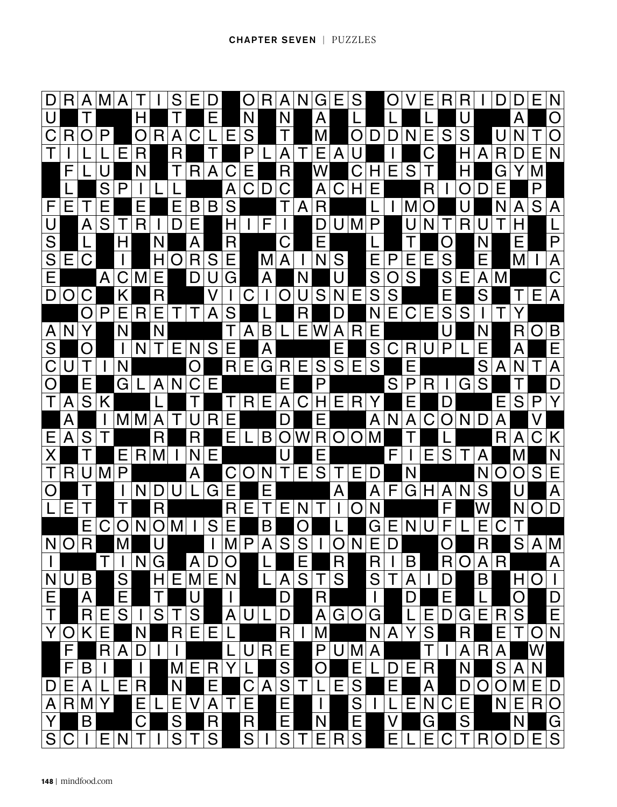